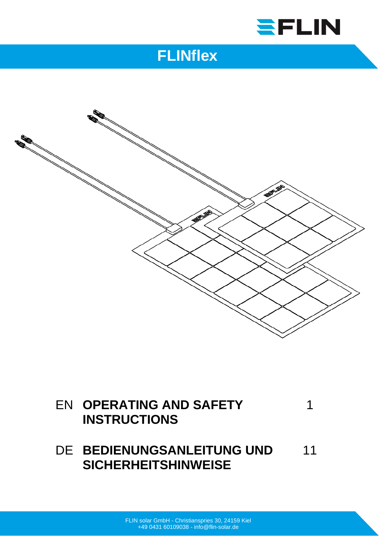



### EN **OPERATING AND SAFETY INSTRUCTIONS** 1

#### DE **BEDIENUNGSANLEITUNG UND SICHERHEITSHINWEISE** 11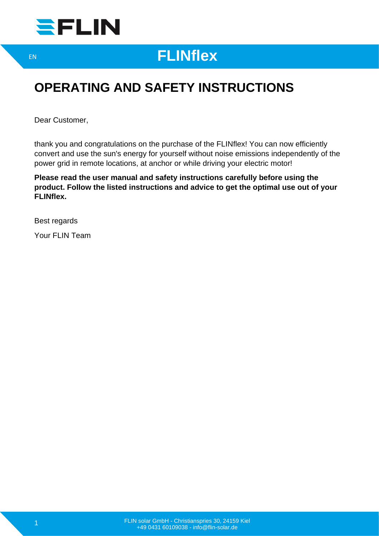

### **OPERATING AND SAFETY INSTRUCTIONS**

Dear Customer,

EN

thank you and congratulations on the purchase of the FLINflex! You can now efficiently convert and use the sun's energy for yourself without noise emissions independently of the power grid in remote locations, at anchor or while driving your electric motor!

**Please read the user manual and safety instructions carefully before using the product. Follow the listed instructions and advice to get the optimal use out of your FLINflex.**

Best regards

Your FLIN Team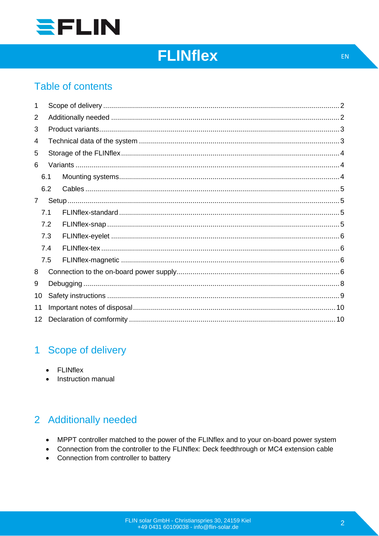

#### **Table of contents**

| $\mathbf 1$ |                 |  |  |  |  |
|-------------|-----------------|--|--|--|--|
| 2           |                 |  |  |  |  |
| 3           |                 |  |  |  |  |
| 4           |                 |  |  |  |  |
| 5           |                 |  |  |  |  |
| 6           |                 |  |  |  |  |
|             | 6.1             |  |  |  |  |
|             | 6.2             |  |  |  |  |
| $7^{\circ}$ |                 |  |  |  |  |
|             | 7.1             |  |  |  |  |
|             | 7.2             |  |  |  |  |
|             | 7.3             |  |  |  |  |
|             | 7.4             |  |  |  |  |
|             | 7.5             |  |  |  |  |
| 8           |                 |  |  |  |  |
| 9           |                 |  |  |  |  |
| 10          |                 |  |  |  |  |
| 11          |                 |  |  |  |  |
|             | 12 <sup>°</sup> |  |  |  |  |

#### <span id="page-2-0"></span>1 Scope of delivery

- FLINflex
- Instruction manual

### <span id="page-2-1"></span>2 Additionally needed

- MPPT controller matched to the power of the FLINflex and to your on-board power system
- Connection from the controller to the FLINflex: Deck feedthrough or MC4 extension cable
- Connection from controller to battery

**EN**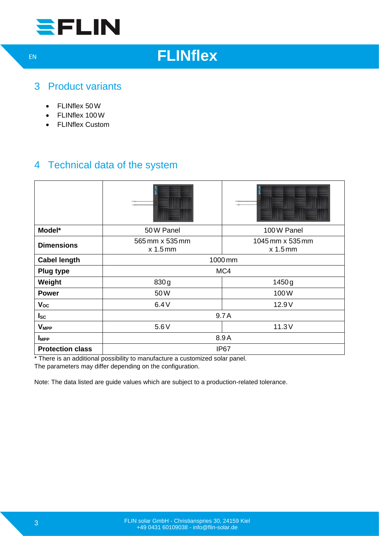

### <span id="page-3-0"></span>3 Product variants

• FLINflex 50W

EN

- FLINflex 100W
- FLINflex Custom

### <span id="page-3-1"></span>4 Technical data of the system

| Model*                  | 50W Panel                     | 100W Panel                     |  |
|-------------------------|-------------------------------|--------------------------------|--|
| <b>Dimensions</b>       | 565 mm x 535 mm<br>$x 1.5$ mm | 1045 mm x 535 mm<br>$x 1.5$ mm |  |
| <b>Cabel length</b>     | 1000 mm                       |                                |  |
| <b>Plug type</b>        | MC4                           |                                |  |
| Weight                  | 830g                          | 1450g                          |  |
| <b>Power</b>            | 50W                           | 100W                           |  |
| $V_{OC}$                | 6.4V                          | 12.9V                          |  |
| $I_{SC}$                | 9.7A                          |                                |  |
| <b>VMPP</b>             | 5.6V                          | 11.3V                          |  |
| <b>IMPP</b>             | 8.9A                          |                                |  |
| <b>Protection class</b> |                               | IP <sub>67</sub>               |  |

\* There is an additional possibility to manufacture a customized solar panel.

The parameters may differ depending on the configuration.

Note: The data listed are guide values which are subject to a production-related tolerance.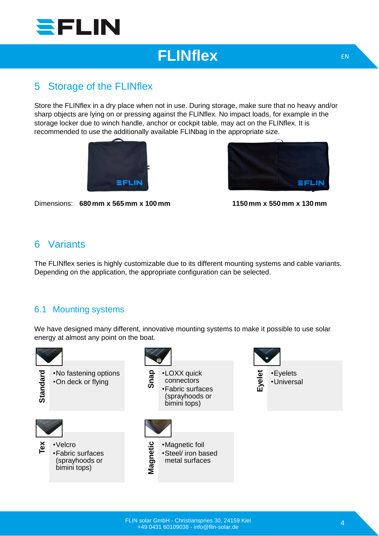

### <span id="page-4-0"></span>5 Storage of the FLINflex

Store the FLINflex in a dry place when not in use. During storage, make sure that no heavy and/or sharp objects are lying on or pressing against the FLINflex. No impact loads, for example in the storage locker due to winch handle, anchor or cockpit table, may act on the FLINflex. It is recommended to use the additionally available FLINbag in the appropriate size.





EN

Dimensions: **680mm x 565mm x 100mm 1150mm x 550mm x 130mm**

#### <span id="page-4-1"></span>6 Variants

The FLINflex series is highly customizable due to its different mounting systems and cable variants. Depending on the application, the appropriate configuration can be selected.

#### <span id="page-4-2"></span>6.1 Mounting systems

We have designed many different, innovative mounting systems to make it possible to use solar energy at almost any point on the boat.

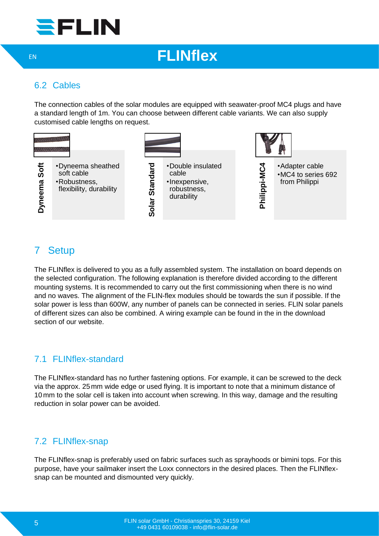

#### <span id="page-5-0"></span>6.2 Cables

EN

The connection cables of the solar modules are equipped with seawater-proof MC4 plugs and have a standard length of 1m. You can choose between different cable variants. We can also supply customised cable lengths on request.



### <span id="page-5-1"></span>7 Setup

The FLINflex is delivered to you as a fully assembled system. The installation on board depends on the selected configuration. The following explanation is therefore divided according to the different mounting systems. It is recommended to carry out the first commissioning when there is no wind and no waves. The alignment of the FLIN-flex modules should be towards the sun if possible. If the solar power is less than 600W, any number of panels can be connected in series. FLIN solar panels of different sizes can also be combined. A wiring example can be found in the in the download section of our website.

#### <span id="page-5-2"></span>7.1 FLINflex-standard

The FLINflex-standard has no further fastening options. For example, it can be screwed to the deck via the approx. 25mm wide edge or used flying. It is important to note that a minimum distance of 10 mm to the solar cell is taken into account when screwing. In this way, damage and the resulting reduction in solar power can be avoided.

#### <span id="page-5-3"></span>7.2 FLINflex-snap

The FLINflex-snap is preferably used on fabric surfaces such as sprayhoods or bimini tops. For this purpose, have your sailmaker insert the Loxx connectors in the desired places. Then the FLINflex-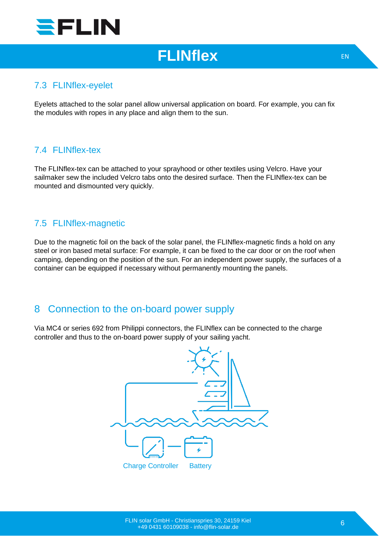

#### <span id="page-6-0"></span>7.3 FLINflex-eyelet

Eyelets attached to the solar panel allow universal application on board. For example, you can fix the modules with ropes in any place and align them to the sun.

#### <span id="page-6-1"></span>7.4 FLINflex-tex

The FLINflex-tex can be attached to your sprayhood or other textiles using Velcro. Have your sailmaker sew the included Velcro tabs onto the desired surface. Then the FLINflex-tex can be mounted and dismounted very quickly.

#### <span id="page-6-2"></span>7.5 FLINflex-magnetic

Due to the magnetic foil on the back of the solar panel, the FLINflex-magnetic finds a hold on any steel or iron based metal surface: For example, it can be fixed to the car door or on the roof when camping, depending on the position of the sun. For an independent power supply, the surfaces of a container can be equipped if necessary without permanently mounting the panels.

#### <span id="page-6-3"></span>8 Connection to the on-board power supply

Via MC4 or series 692 from Philippi connectors, the FLINflex can be connected to the charge controller and thus to the on-board power supply of your sailing yacht.



EN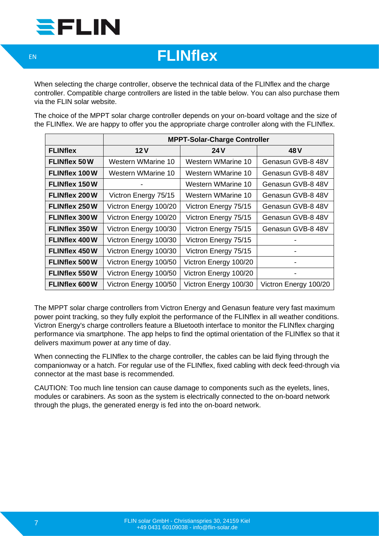

EN

### **FLINflex**

When selecting the charge controller, observe the technical data of the FLINflex and the charge controller. Compatible charge controllers are listed in the table below. You can also purchase them via the FLIN solar website.

The choice of the MPPT solar charge controller depends on your on-board voltage and the size of the FLINflex. We are happy to offer you the appropriate charge controller along with the FLINflex.

|                      | <b>MPPT-Solar-Charge Controller</b> |                       |                       |
|----------------------|-------------------------------------|-----------------------|-----------------------|
| <b>FLINflex</b>      | 12V                                 | <b>24 V</b>           | 48 V                  |
| <b>FLINflex 50W</b>  | Western WMarine 10                  | Western WMarine 10    | Genasun GVB-8 48V     |
| <b>FLINflex 100W</b> | Western WMarine 10                  | Western WMarine 10    | Genasun GVB-8 48V     |
| <b>FLINflex 150W</b> |                                     | Western WMarine 10    | Genasun GVB-8 48V     |
| <b>FLINflex 200W</b> | Victron Energy 75/15                | Western WMarine 10    | Genasun GVB-8 48V     |
| <b>FLINflex 250W</b> | Victron Energy 100/20               | Victron Energy 75/15  | Genasun GVB-8 48V     |
| <b>FLINflex 300W</b> | Victron Energy 100/20               | Victron Energy 75/15  | Genasun GVB-8 48V     |
| <b>FLINflex 350W</b> | Victron Energy 100/30               | Victron Energy 75/15  | Genasun GVB-8 48V     |
| <b>FLINflex 400W</b> | Victron Energy 100/30               | Victron Energy 75/15  |                       |
| <b>FLINflex 450W</b> | Victron Energy 100/30               | Victron Energy 75/15  | -                     |
| <b>FLINflex 500W</b> | Victron Energy 100/50               | Victron Energy 100/20 | $\blacksquare$        |
| <b>FLINflex 550W</b> | Victron Energy 100/50               | Victron Energy 100/20 |                       |
| <b>FLINflex 600W</b> | Victron Energy 100/50               | Victron Energy 100/30 | Victron Energy 100/20 |

The MPPT solar charge controllers from Victron Energy and Genasun feature very fast maximum power point tracking, so they fully exploit the performance of the FLINflex in all weather conditions. Victron Energy's charge controllers feature a Bluetooth interface to monitor the FLINflex charging performance via smartphone. The app helps to find the optimal orientation of the FLINflex so that it delivers maximum power at any time of day.

When connecting the FLINflex to the charge controller, the cables can be laid flying through the companionway or a hatch. For regular use of the FLINflex, fixed cabling with deck feed-through via connector at the mast base is recommended.

CAUTION: Too much line tension can cause damage to components such as the eyelets, lines, modules or carabiners. As soon as the system is electrically connected to the on-board network through the plugs, the generated energy is fed into the on-board network.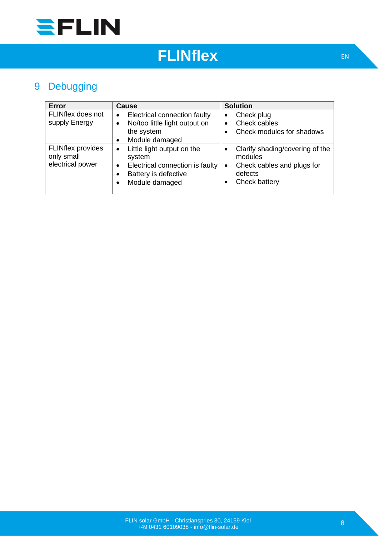

### <span id="page-8-0"></span>9 Debugging

| <b>Error</b>                                               | <b>Cause</b>                                                                                                                                | <b>Solution</b>                                                                                      |
|------------------------------------------------------------|---------------------------------------------------------------------------------------------------------------------------------------------|------------------------------------------------------------------------------------------------------|
| <b>FLINflex does not</b><br>supply Energy                  | Electrical connection faulty<br>$\bullet$<br>No/too little light output on<br>the system<br>Module damaged                                  | Check plug<br>٠<br>Check cables<br>Check modules for shadows                                         |
| <b>FLINflex provides</b><br>only small<br>electrical power | Little light output on the<br>$\bullet$<br>system<br>Electrical connection is faulty<br>$\bullet$<br>Battery is defective<br>Module damaged | Clarify shading/covering of the<br>modules<br>Check cables and plugs for<br>defects<br>Check battery |

EN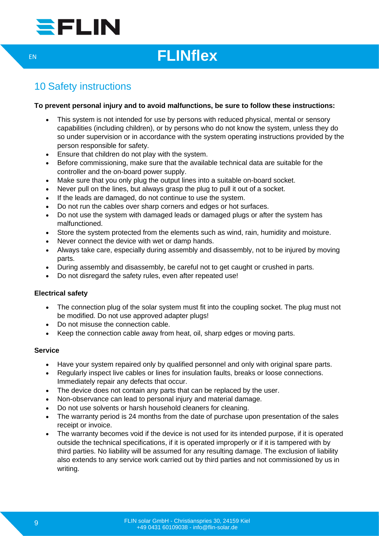

EN

### **FLINflex**

### <span id="page-9-0"></span>10 Safety instructions

#### **To prevent personal injury and to avoid malfunctions, be sure to follow these instructions:**

- This system is not intended for use by persons with reduced physical, mental or sensory capabilities (including children), or by persons who do not know the system, unless they do so under supervision or in accordance with the system operating instructions provided by the person responsible for safety.
- Ensure that children do not play with the system.
- Before commissioning, make sure that the available technical data are suitable for the controller and the on-board power supply.
- Make sure that you only plug the output lines into a suitable on-board socket.
- Never pull on the lines, but always grasp the plug to pull it out of a socket.
- If the leads are damaged, do not continue to use the system.
- Do not run the cables over sharp corners and edges or hot surfaces.
- Do not use the system with damaged leads or damaged plugs or after the system has malfunctioned.
- Store the system protected from the elements such as wind, rain, humidity and moisture.
- Never connect the device with wet or damp hands.
- Always take care, especially during assembly and disassembly, not to be injured by moving parts.
- During assembly and disassembly, be careful not to get caught or crushed in parts.
- Do not disregard the safety rules, even after repeated use!

#### **Electrical safety**

- The connection plug of the solar system must fit into the coupling socket. The plug must not be modified. Do not use approved adapter plugs!
- Do not misuse the connection cable.
- Keep the connection cable away from heat, oil, sharp edges or moving parts.

#### **Service**

- Have your system repaired only by qualified personnel and only with original spare parts.
- Regularly inspect live cables or lines for insulation faults, breaks or loose connections. Immediately repair any defects that occur.
- The device does not contain any parts that can be replaced by the user.
- Non-observance can lead to personal injury and material damage.
- Do not use solvents or harsh household cleaners for cleaning.
- The warranty period is 24 months from the date of purchase upon presentation of the sales receipt or invoice.
- The warranty becomes void if the device is not used for its intended purpose, if it is operated outside the technical specifications, if it is operated improperly or if it is tampered with by third parties. No liability will be assumed for any resulting damage. The exclusion of liability also extends to any service work carried out by third parties and not commissioned by us in writing.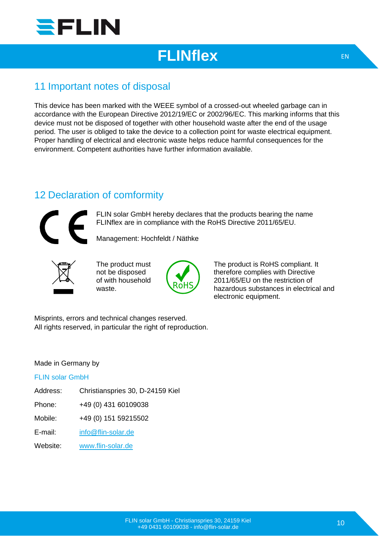

#### <span id="page-10-0"></span>11 Important notes of disposal

This device has been marked with the WEEE symbol of a crossed-out wheeled garbage can in accordance with the European Directive 2012/19/EC or 2002/96/EC. This marking informs that this device must not be disposed of together with other household waste after the end of the usage period. The user is obliged to take the device to a collection point for waste electrical equipment. Proper handling of electrical and electronic waste helps reduce harmful consequences for the environment. Competent authorities have further information available.

#### <span id="page-10-1"></span>12 Declaration of comformity



FLIN solar GmbH hereby declares that the products bearing the name FLINflex are in compliance with the RoHS Directive 2011/65/EU.

Management: Hochfeldt / Näthke



The product must not be disposed of with household waste.



The product is RoHS compliant. It therefore complies with Directive 2011/65/EU on the restriction of hazardous substances in electrical and electronic equipment.

Misprints, errors and technical changes reserved. All rights reserved, in particular the right of reproduction.

Made in Germany by

FLIN solar GmbH

- Address: Christianspries 30, D-24159 Kiel
- Phone: +49 (0) 431 60109038
- Mobile: +49 (0) 151 59215502
- E-mail: [info@flin-solar.de](mailto:info@flin-solar.de)
- Website: [www.flin-solar.de](http://www.flin-solar.de/)

EN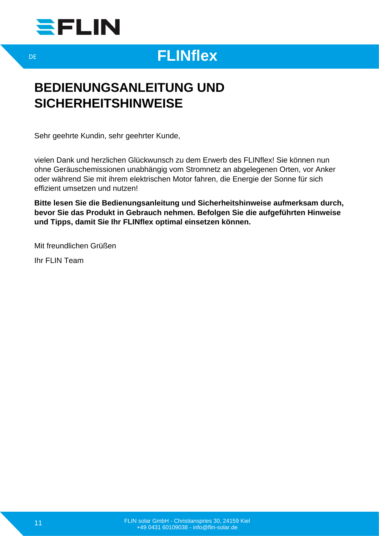

### **BEDIENUNGSANLEITUNG UND SICHERHEITSHINWEISE**

Sehr geehrte Kundin, sehr geehrter Kunde,

vielen Dank und herzlichen Glückwunsch zu dem Erwerb des FLINflex! Sie können nun ohne Geräuschemissionen unabhängig vom Stromnetz an abgelegenen Orten, vor Anker oder während Sie mit ihrem elektrischen Motor fahren, die Energie der Sonne für sich effizient umsetzen und nutzen!

**Bitte lesen Sie die Bedienungsanleitung und Sicherheitshinweise aufmerksam durch, bevor Sie das Produkt in Gebrauch nehmen. Befolgen Sie die aufgeführten Hinweise und Tipps, damit Sie Ihr FLINflex optimal einsetzen können.** 

Mit freundlichen Grüßen

Ihr FLIN Team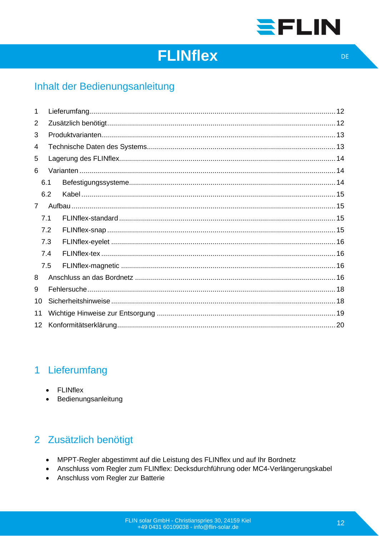

**DE** 

## **FLINflex**

### Inhalt der Bedienungsanleitung

| $\mathbf 1$    |         |  |  |  |  |
|----------------|---------|--|--|--|--|
| 2              |         |  |  |  |  |
| 3              |         |  |  |  |  |
| 4              |         |  |  |  |  |
| 5              |         |  |  |  |  |
| 6              |         |  |  |  |  |
|                | 6.1     |  |  |  |  |
|                | 6.2     |  |  |  |  |
| $\overline{7}$ |         |  |  |  |  |
|                | 7.1     |  |  |  |  |
|                | 7.2     |  |  |  |  |
|                | 7.3     |  |  |  |  |
|                | 7.4     |  |  |  |  |
|                | 7.5     |  |  |  |  |
| 8              |         |  |  |  |  |
| 9              |         |  |  |  |  |
| 10             |         |  |  |  |  |
| 11             |         |  |  |  |  |
|                | $12 \,$ |  |  |  |  |

### <span id="page-12-0"></span>1 Lieferumfang

- FLINflex
- Bedienungsanleitung  $\bullet$

### <span id="page-12-1"></span>2 Zusätzlich benötigt

- MPPT-Regler abgestimmt auf die Leistung des FLINflex und auf Ihr Bordnetz
- Anschluss vom Regler zum FLINflex: Decksdurchführung oder MC4-Verlängerungskabel
- Anschluss vom Regler zur Batterie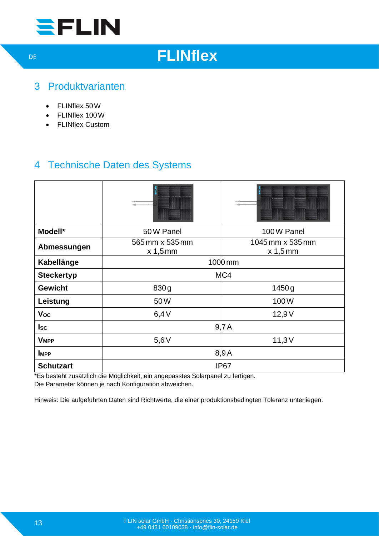

#### <span id="page-13-0"></span>3 Produktvarianten

• FLINflex 50W

DE

- FLINflex 100W
- FLINflex Custom

### <span id="page-13-1"></span>4 Technische Daten des Systems

| Modell*           | 50W Panel                     | 100W Panel                             |  |
|-------------------|-------------------------------|----------------------------------------|--|
| Abmessungen       | 565 mm x 535 mm<br>$x 1,5$ mm | 1045 mm x 535 mm<br>$x 1,5 \text{ mm}$ |  |
| Kabellänge        | 1000 mm                       |                                        |  |
| <b>Steckertyp</b> | MC4                           |                                        |  |
| <b>Gewicht</b>    | 830g                          | 1450g                                  |  |
| Leistung          | 50W                           | 100W                                   |  |
| Voc               | 6,4V                          | 12,9V                                  |  |
| $_{\rm lsc}$      | 9,7A                          |                                        |  |
| <b>VMPP</b>       | 5,6V                          | 11,3V                                  |  |
| <b>IMPP</b>       |                               | 8,9A                                   |  |
| <b>Schutzart</b>  | <b>IP67</b>                   |                                        |  |

\*Es besteht zusätzlich die Möglichkeit, ein angepasstes Solarpanel zu fertigen. Die Parameter können je nach Konfiguration abweichen.

Hinweis: Die aufgeführten Daten sind Richtwerte, die einer produktionsbedingten Toleranz unterliegen.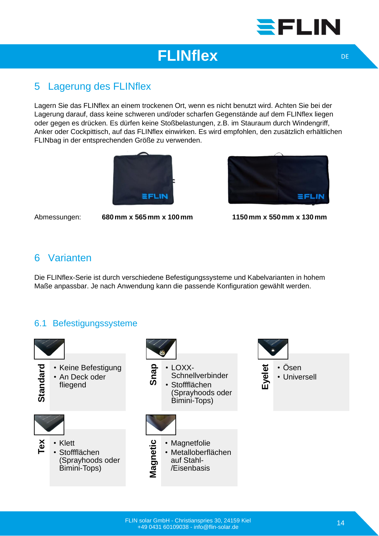

DE

## **FLINflex**

### <span id="page-14-0"></span>5 Lagerung des FLINflex

Lagern Sie das FLINflex an einem trockenen Ort, wenn es nicht benutzt wird. Achten Sie bei der Lagerung darauf, dass keine schweren und/oder scharfen Gegenstände auf dem FLINflex liegen oder gegen es drücken. Es dürfen keine Stoßbelastungen, z.B. im Stauraum durch Windengriff, Anker oder Cockpittisch, auf das FLINflex einwirken. Es wird empfohlen, den zusätzlich erhältlichen FLINbag in der entsprechenden Größe zu verwenden.





Abmessungen: **680mm x 565mm x 100mm 1150mm x 550mm x 130mm**

#### <span id="page-14-1"></span>6 Varianten

Die FLINflex-Serie ist durch verschiedene Befestigungssysteme und Kabelvarianten in hohem Maße anpassbar. Je nach Anwendung kann die passende Konfiguration gewählt werden.

#### <span id="page-14-2"></span>6.1 Befestigungssysteme

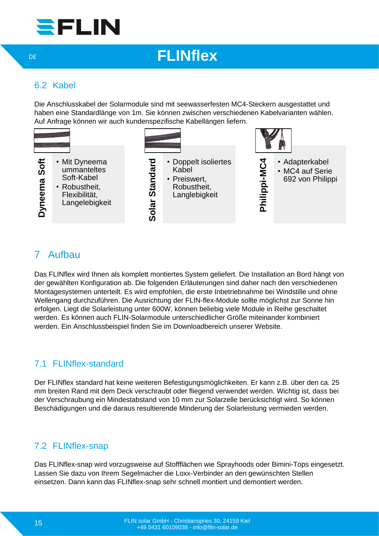

#### <span id="page-15-0"></span>6.2 Kabel

DE

Die Anschlusskabel der Solarmodule sind mit seewasserfesten MC4-Steckern ausgestattet und haben eine Standardlänge von 1m. Sie können zwischen verschiedenen Kabelvarianten wählen. Auf Anfrage können wir auch kundenspezifische Kabellängen liefern.



#### <span id="page-15-1"></span>7 Aufbau

Das FLINflex wird Ihnen als komplett montiertes System geliefert. Die Installation an Bord hängt von der gewählten Konfiguration ab. Die folgenden Erläuterungen sind daher nach den verschiedenen Montagesystemen unterteilt. Es wird empfohlen, die erste Inbetriebnahme bei Windstille und ohne Wellengang durchzuführen. Die Ausrichtung der FLIN-flex-Module sollte möglichst zur Sonne hin erfolgen. Liegt die Solarleistung unter 600W, können beliebig viele Module in Reihe geschaltet werden. Es können auch FLIN-Solarmodule unterschiedlicher Größe miteinander kombiniert werden. Ein Anschlussbeispiel finden Sie im Downloadbereich unserer Website.

#### <span id="page-15-2"></span>7.1 FLINflex-standard

Der FLINflex standard hat keine weiteren Befestigungsmöglichkeiten. Er kann z.B. über den ca. 25 mm breiten Rand mit dem Deck verschraubt oder fliegend verwendet werden. Wichtig ist, dass bei der Verschraubung ein Mindestabstand von 10 mm zur Solarzelle berücksichtigt wird. So können Beschädigungen und die daraus resultierende Minderung der Solarleistung vermieden werden.

#### <span id="page-15-3"></span>7.2 FLINflex-snap

Das FLINflex-snap wird vorzugsweise auf Stoffflächen wie Sprayhoods oder Bimini-Tops eingesetzt. Lassen Sie dazu von Ihrem Segelmacher die Loxx-Verbinder an den gewünschten Stellen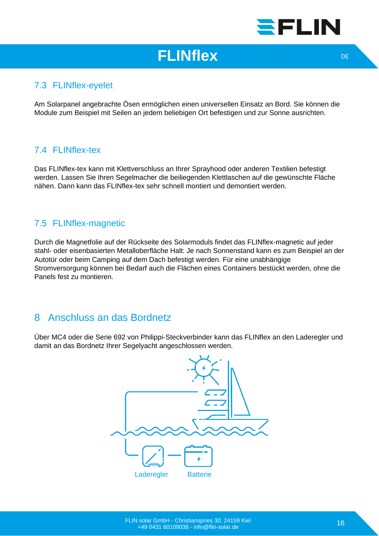# FLIN

DE

## **FLINflex**

#### <span id="page-16-0"></span>7.3 FLINflex-eyelet

Am Solarpanel angebrachte Ösen ermöglichen einen universellen Einsatz an Bord. Sie können die Module zum Beispiel mit Seilen an jedem beliebigen Ort befestigen und zur Sonne ausrichten.

#### <span id="page-16-1"></span>7.4 FLINflex-tex

Das FLINflex-tex kann mit Klettverschluss an Ihrer Sprayhood oder anderen Textilien befestigt werden. Lassen Sie Ihren Segelmacher die beiliegenden Klettlaschen auf die gewünschte Fläche nähen. Dann kann das FLINflex-tex sehr schnell montiert und demontiert werden.

#### <span id="page-16-2"></span>7.5 FLINflex-magnetic

Durch die Magnetfolie auf der Rückseite des Solarmoduls findet das FLINflex-magnetic auf jeder stahl- oder eisenbasierten Metalloberfläche Halt: Je nach Sonnenstand kann es zum Beispiel an der Autotür oder beim Camping auf dem Dach befestigt werden. Für eine unabhängige Stromversorgung können bei Bedarf auch die Flächen eines Containers bestückt werden, ohne die Panels fest zu montieren.

#### <span id="page-16-3"></span>8 Anschluss an das Bordnetz

Über MC4 oder die Serie 692 von Philippi-Steckverbinder kann das FLINflex an den Laderegler und damit an das Bordnetz Ihrer Segelyacht angeschlossen werden.

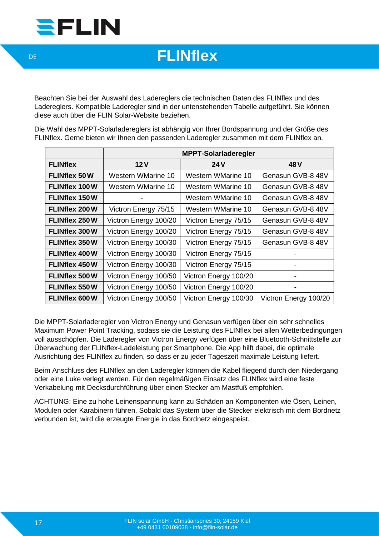

Beachten Sie bei der Auswahl des Ladereglers die technischen Daten des FLINflex und des Ladereglers. Kompatible Laderegler sind in der untenstehenden Tabelle aufgeführt. Sie können diese auch über die FLIN Solar-Website beziehen.

Die Wahl des MPPT-Solarladereglers ist abhängig von Ihrer Bordspannung und der Größe des FLINflex. Gerne bieten wir Ihnen den passenden Laderegler zusammen mit dem FLINflex an.

|                      | <b>MPPT-Solarladeregler</b> |                       |                       |
|----------------------|-----------------------------|-----------------------|-----------------------|
| <b>FLINflex</b>      | 12V                         | 24 V                  | 48 <sub>V</sub>       |
| <b>FLINflex 50W</b>  | Western WMarine 10          | Western WMarine 10    | Genasun GVB-8 48V     |
| <b>FLINflex 100W</b> | Western WMarine 10          | Western WMarine 10    | Genasun GVB-8 48V     |
| <b>FLINflex 150W</b> |                             | Western WMarine 10    | Genasun GVB-8 48V     |
| <b>FLINflex 200W</b> | Victron Energy 75/15        | Western WMarine 10    | Genasun GVB-8 48V     |
| <b>FLINflex 250W</b> | Victron Energy 100/20       | Victron Energy 75/15  | Genasun GVB-8 48V     |
| <b>FLINflex 300W</b> | Victron Energy 100/20       | Victron Energy 75/15  | Genasun GVB-8 48V     |
| <b>FLINflex 350W</b> | Victron Energy 100/30       | Victron Energy 75/15  | Genasun GVB-8 48V     |
| <b>FLINflex 400W</b> | Victron Energy 100/30       | Victron Energy 75/15  |                       |
| <b>FLINflex 450W</b> | Victron Energy 100/30       | Victron Energy 75/15  |                       |
| <b>FLINflex 500W</b> | Victron Energy 100/50       | Victron Energy 100/20 | $\blacksquare$        |
| <b>FLINflex 550W</b> | Victron Energy 100/50       | Victron Energy 100/20 |                       |
| <b>FLINflex 600W</b> | Victron Energy 100/50       | Victron Energy 100/30 | Victron Energy 100/20 |

Die MPPT-Solarladeregler von Victron Energy und Genasun verfügen über ein sehr schnelles Maximum Power Point Tracking, sodass sie die Leistung des FLINflex bei allen Wetterbedingungen voll ausschöpfen. Die Laderegler von Victron Energy verfügen über eine Bluetooth-Schnittstelle zur Überwachung der FLINflex-Ladeleistung per Smartphone. Die App hilft dabei, die optimale Ausrichtung des FLINflex zu finden, so dass er zu jeder Tageszeit maximale Leistung liefert.

Beim Anschluss des FLINflex an den Laderegler können die Kabel fliegend durch den Niedergang oder eine Luke verlegt werden. Für den regelmäßigen Einsatz des FLINflex wird eine feste Verkabelung mit Decksdurchführung über einen Stecker am Mastfuß empfohlen.

ACHTUNG: Eine zu hohe Leinenspannung kann zu Schäden an Komponenten wie Ösen, Leinen, Modulen oder Karabinern führen. Sobald das System über die Stecker elektrisch mit dem Bordnetz verbunden ist, wird die erzeugte Energie in das Bordnetz eingespeist.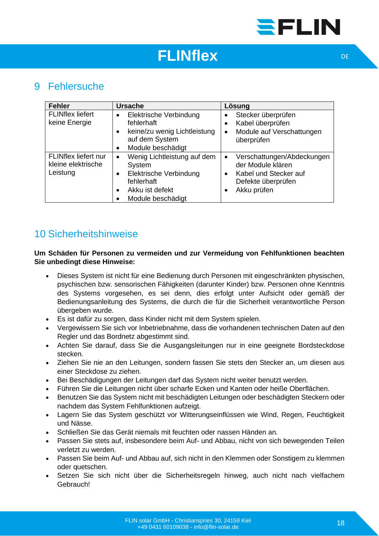

DE

## **FLINflex**

#### <span id="page-18-0"></span>9 Fehlersuche

| <b>Fehler</b>                                                 | <b>Ursache</b>                                                                                                                     | Lösung                                                                                                        |
|---------------------------------------------------------------|------------------------------------------------------------------------------------------------------------------------------------|---------------------------------------------------------------------------------------------------------------|
| <b>FLINflex liefert</b><br>keine Energie                      | Elektrische Verbindung<br>fehlerhaft<br>keine/zu wenig Lichtleistung<br>auf dem System<br>Module beschädigt                        | Stecker überprüfen<br>Kabel überprüfen<br>Module auf Verschattungen<br>überprüfen                             |
| <b>FLINflex liefert nur</b><br>kleine elektrische<br>Leistung | Wenig Lichtleistung auf dem<br>$\bullet$<br>System<br>Elektrische Verbindung<br>fehlerhaft<br>Akku ist defekt<br>Module beschädigt | Verschattungen/Abdeckungen<br>der Module klären<br>Kabel und Stecker auf<br>Defekte überprüfen<br>Akku prüfen |

#### <span id="page-18-1"></span>10 Sicherheitshinweise

**Um Schäden für Personen zu vermeiden und zur Vermeidung von Fehlfunktionen beachten Sie unbedingt diese Hinweise:**

- Dieses System ist nicht für eine Bedienung durch Personen mit eingeschränkten physischen, psychischen bzw. sensorischen Fähigkeiten (darunter Kinder) bzw. Personen ohne Kenntnis des Systems vorgesehen, es sei denn, dies erfolgt unter Aufsicht oder gemäß der Bedienungsanleitung des Systems, die durch die für die Sicherheit verantwortliche Person übergeben wurde.
- Es ist dafür zu sorgen, dass Kinder nicht mit dem System spielen.
- Vergewissern Sie sich vor Inbetriebnahme, dass die vorhandenen technischen Daten auf den Regler und das Bordnetz abgestimmt sind.
- Achten Sie darauf, dass Sie die Ausgangsleitungen nur in eine geeignete Bordsteckdose stecken.
- Ziehen Sie nie an den Leitungen, sondern fassen Sie stets den Stecker an, um diesen aus einer Steckdose zu ziehen.
- Bei Beschädigungen der Leitungen darf das System nicht weiter benutzt werden.
- Führen Sie die Leitungen nicht über scharfe Ecken und Kanten oder heiße Oberflächen.
- Benutzen Sie das System nicht mit beschädigten Leitungen oder beschädigten Steckern oder nachdem das System Fehlfunktionen aufzeigt.
- Lagern Sie das System geschützt vor Witterungseinflüssen wie Wind, Regen, Feuchtigkeit und Nässe.
- Schließen Sie das Gerät niemals mit feuchten oder nassen Händen an.
- Passen Sie stets auf, insbesondere beim Auf- und Abbau, nicht von sich bewegenden Teilen verletzt zu werden.
- Passen Sie beim Auf- und Abbau auf, sich nicht in den Klemmen oder Sonstigem zu klemmen oder quetschen.
- Setzen Sie sich nicht über die Sicherheitsregeln hinweg, auch nicht nach vielfachem Gebrauch!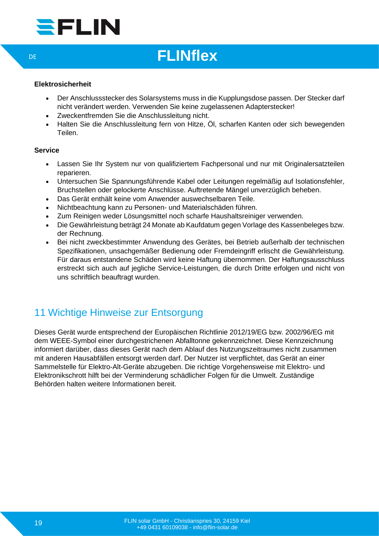

#### **Elektrosicherheit**

- Der Anschlussstecker des Solarsystems muss in die Kupplungsdose passen. Der Stecker darf nicht verändert werden. Verwenden Sie keine zugelassenen Adapterstecker!
- Zweckentfremden Sie die Anschlussleitung nicht.
- Halten Sie die Anschlussleitung fern von Hitze, Öl, scharfen Kanten oder sich bewegenden Teilen.

#### **Service**

DE

- Lassen Sie Ihr System nur von qualifiziertem Fachpersonal und nur mit Originalersatzteilen reparieren.
- Untersuchen Sie Spannungsführende Kabel oder Leitungen regelmäßig auf Isolationsfehler, Bruchstellen oder gelockerte Anschlüsse. Auftretende Mängel unverzüglich beheben.
- Das Gerät enthält keine vom Anwender auswechselbaren Teile.
- Nichtbeachtung kann zu Personen- und Materialschäden führen.
- Zum Reinigen weder Lösungsmittel noch scharfe Haushaltsreiniger verwenden.
- Die Gewährleistung beträgt 24 Monate ab Kaufdatum gegen Vorlage des Kassenbeleges bzw. der Rechnung.
- Bei nicht zweckbestimmter Anwendung des Gerätes, bei Betrieb außerhalb der technischen Spezifikationen, unsachgemäßer Bedienung oder Fremdeingriff erlischt die Gewährleistung. Für daraus entstandene Schäden wird keine Haftung übernommen. Der Haftungsausschluss erstreckt sich auch auf jegliche Service-Leistungen, die durch Dritte erfolgen und nicht von uns schriftlich beauftragt wurden.

### <span id="page-19-0"></span>11 Wichtige Hinweise zur Entsorgung

Dieses Gerät wurde entsprechend der Europäischen Richtlinie 2012/19/EG bzw. 2002/96/EG mit dem WEEE-Symbol einer durchgestrichenen Abfalltonne gekennzeichnet. Diese Kennzeichnung informiert darüber, dass dieses Gerät nach dem Ablauf des Nutzungszeitraumes nicht zusammen mit anderen Hausabfällen entsorgt werden darf. Der Nutzer ist verpflichtet, das Gerät an einer Sammelstelle für Elektro-Alt-Geräte abzugeben. Die richtige Vorgehensweise mit Elektro- und Elektronikschrott hilft bei der Verminderung schädlicher Folgen für die Umwelt. Zuständige Behörden halten weitere Informationen bereit.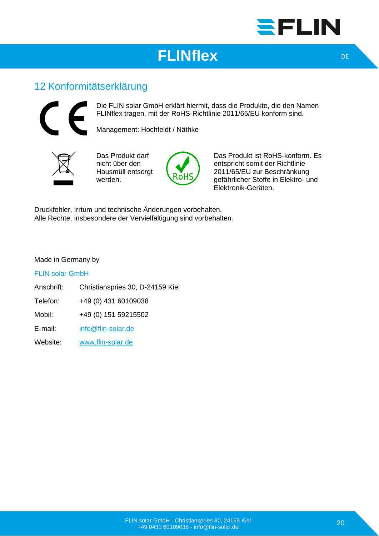# FLIN

DE

## **FLINflex**

#### <span id="page-20-0"></span>12 Konformitätserklärung



Die FLIN solar GmbH erklärt hiermit, dass die Produkte, die den Namen FLINflex tragen, mit der RoHS-Richtlinie 2011/65/EU konform sind.

Management: Hochfeldt / Näthke



Das Produkt darf nicht über den Hausmüll entsorgt werden.



Das Produkt ist RoHS-konform. Es entspricht somit der Richtlinie 2011/65/EU zur Beschränkung gefährlicher Stoffe in Elektro- und Elektronik-Geräten.

Druckfehler, Irrtum und technische Änderungen vorbehalten. Alle Rechte, insbesondere der Vervielfältigung sind vorbehalten.

Made in Germany by

#### FLIN solar GmbH

- Anschrift: Christianspries 30, D-24159 Kiel
- Telefon: +49 (0) 431 60109038

Mobil: +49 (0) 151 59215502

E-mail: [info@flin-solar.de](mailto:info@flin-solar.de)

Website: [www.flin-solar.de](http://www.flin-solar.de/)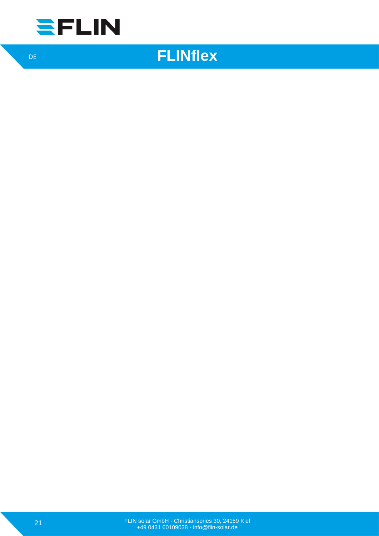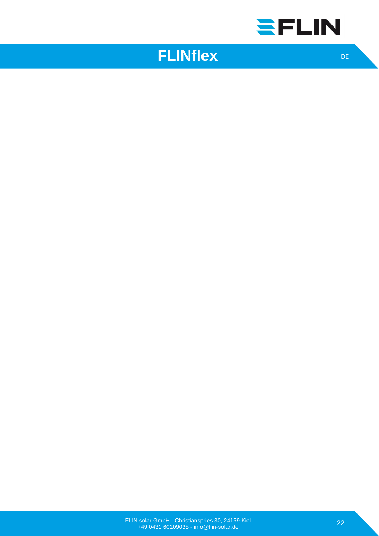